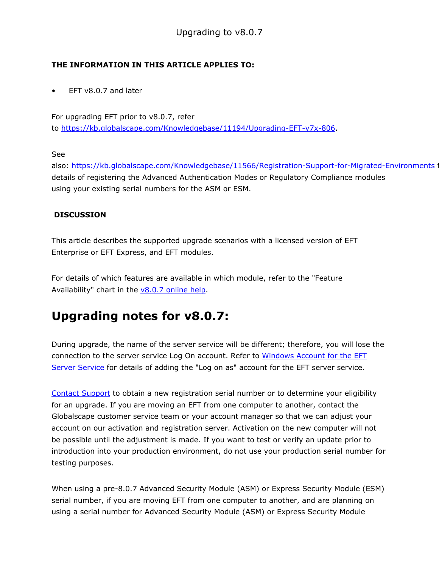## THE INFORMATION IN THIS ARTICLE APPLIES TO:

 $EFT v8.0.7$  and later

For upgrading EFT prior to v8.0.7, refer to [https://kb.globalscape.com/Knowledgebase/11194/Upgrading-EFT-v7x-806.](https://kb.globalscape.com/Knowledgebase/11194/Upgrading-EFT-v7x-806)

See

also: [https://kb.globalscape.com/Knowledgebase/11566/Registration-Support-for-Migrated-Environments](https://kb.globalscape.com/Knowledgebase/11566/Registration-Support-for-Migrated-Environments ) for details of registering the Advanced Authentication Modes or Regulatory Compliance modules using your existing serial numbers for the ASM or ESM.

## **DISCUSSION**

This article describes the supported upgrade scenarios with a licensed version of EFT Enterprise or EFT Express, and EFT modules.

For details of which features are available in which module, refer to the "Feature Availability" chart in the  $v8.0.7$  [online](https://help.globalscape.com/help/eft8-0-7/content/feature_availability.htm) [help.](https://help.globalscape.com/help/eft8-0-7/content/feature_availability.htm)

## Upgrading notes for v8.0.7:

During upgrade, the name of the server service will be different; therefore, you will lose the connection to the server service Log On account. Refer to [Windows](https://help.globalscape.com/help/eft8-0-7/content/mergedprojects/admin/windows%20account%20for%20the%20eft%20service.htm) [Account](https://help.globalscape.com/help/eft8-0-7/content/mergedprojects/admin/windows%20account%20for%20the%20eft%20service.htm) [for](https://help.globalscape.com/help/eft8-0-7/content/mergedprojects/admin/windows%20account%20for%20the%20eft%20service.htm) [the](https://help.globalscape.com/help/eft8-0-7/content/mergedprojects/admin/windows%20account%20for%20the%20eft%20service.htm) [EFT](https://help.globalscape.com/help/eft8-0-7/content/mergedprojects/admin/windows%20account%20for%20the%20eft%20service.htm) [Server](https://help.globalscape.com/help/eft8-0-7/content/mergedprojects/admin/windows%20account%20for%20the%20eft%20service.htm) [Service](https://help.globalscape.com/help/eft8-0-7/content/mergedprojects/admin/windows%20account%20for%20the%20eft%20service.htm) for details of adding the "Log on as" account for the EFT server service.

[Contact](http://www.globalscape.com/support/contact-us) [Support](http://www.globalscape.com/support/contact-us) to obtain a new registration serial number or to determine your eligibility for an upgrade. If you are moving an EFT from one computer to another, contact the Globalscape customer service team or your account manager so that we can adjust your account on our activation and registration server. Activation on the new computer will not be possible until the adjustment is made. If you want to test or verify an update prior to introduction into your production environment, do not use your production serial number for testing purposes.

When using a pre-8.0.7 Advanced Security Module (ASM) or Express Security Module (ESM) serial number, if you are moving EFT from one computer to another, and are planning on using a serial number for Advanced Security Module (ASM) or Express Security Module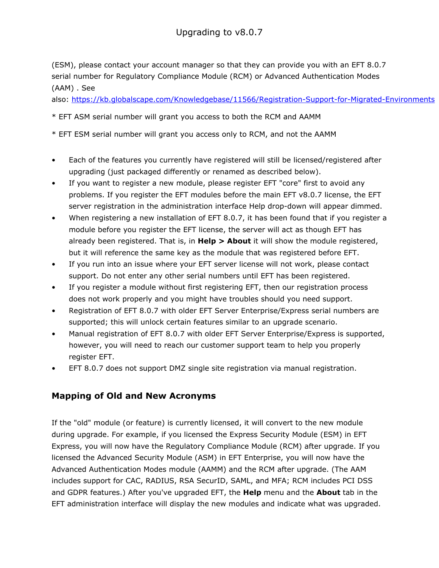(ESM), please contact your account manager so that they can provide you with an EFT 8.0.7 serial number for Regulatory Compliance Module (RCM) or Advanced Authentication Modes (AAM) . See

also: <https://kb.globalscape.com/Knowledgebase/11566/Registration-Support-for-Migrated-Environments>

### \* EFT ASM serial number will grant you access to both the RCM and AAMM

\* EFT ESM serial number will grant you access only to RCM, and not the AAMM

- Each of the features you currently have registered will still be licensed/registered after upgrading (just packaged differently or renamed as described below).
- If you want to register a new module, please register EFT "core" first to avoid any problems. If you register the EFT modules before the main EFT v8.0.7 license, the EFT server registration in the administration interface Help drop-down will appear dimmed.
- When registering a new installation of EFT 8.0.7, it has been found that if you register a module before you register the EFT license, the server will act as though EFT has already been registered. That is, in  $\text{Help} > \text{About}$  it will show the module registered, but it will reference the same key as the module that was registered before EFT.
- If you run into an issue where your EFT server license will not work, please contact support. Do not enter any other serial numbers until EFT has been registered.
- If you register a module without first registering EFT, then our registration process does not work properly and you might have troubles should you need support.
- Registration of EFT 8.0.7 with older EFT Server Enterprise/Express serial numbers are supported; this will unlock certain features similar to an upgrade scenario.
- Manual registration of EFT 8.0.7 with older EFT Server Enterprise/Express is supported, however, you will need to reach our customer support team to help you properly register EFT.
- EFT 8.0.7 does not support DMZ single site registration via manual registration.

## Mapping of Old and New Acronyms

If the "old" module (or feature) is currently licensed, it will convert to the new module during upgrade. For example, if you licensed the Express Security Module (ESM) in EFT Express, you will now have the Regulatory Compliance Module (RCM) after upgrade. If you licensed the Advanced Security Module (ASM) in EFT Enterprise, you will now have the Advanced Authentication Modes module (AAMM) and the RCM after upgrade. (The AAM includes support for CAC, RADIUS, RSA SecurID, SAML, and MFA; RCM includes PCI DSS and GDPR features.) After you've upgraded EFT, the Help menu and the About tab in the EFT administration interface will display the new modules and indicate what was upgraded.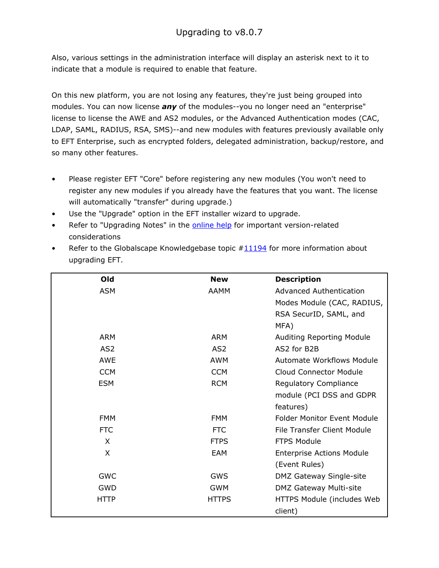Also, various settings in the administration interface will display an asterisk next to it to indicate that a module is required to enable that feature.

On this new platform, you are not losing any features, they're just being grouped into modules. You can now license *any* of the modules--you no longer need an "enterprise" license to license the AWE and AS2 modules, or the Advanced Authentication modes (CAC, LDAP, SAML, RADIUS, RSA, SMS)--and new modules with features previously available only to EFT Enterprise, such as encrypted folders, delegated administration, backup/restore, and so many other features.

- Please register EFT "Core" before registering any new modules (You won't need to register any new modules if you already have the features that you want. The license will automatically "transfer" during upgrade.)
- Use the "Upgrade" option in the EFT installer wizard to upgrade.
- Refer to "Upgrading Notes" in the **[online](https://help.globalscape.com/help/eft8-0-7/) [help](https://help.globalscape.com/help/eft8-0-7/)** for important version-related considerations
- Refer to the Globalscape Knowledgebase topic  $\#$  11194 for more information about upgrading EFT.

| Old             | <b>New</b>      | <b>Description</b>                 |
|-----------------|-----------------|------------------------------------|
| <b>ASM</b>      | <b>AAMM</b>     | <b>Advanced Authentication</b>     |
|                 |                 | Modes Module (CAC, RADIUS,         |
|                 |                 | RSA SecurID, SAML, and             |
|                 |                 | MFA)                               |
| <b>ARM</b>      | <b>ARM</b>      | <b>Auditing Reporting Module</b>   |
| AS <sub>2</sub> | AS <sub>2</sub> | AS2 for B2B                        |
| <b>AWE</b>      | <b>AWM</b>      | <b>Automate Workflows Module</b>   |
| <b>CCM</b>      | <b>CCM</b>      | <b>Cloud Connector Module</b>      |
| <b>ESM</b>      | <b>RCM</b>      | Regulatory Compliance              |
|                 |                 | module (PCI DSS and GDPR           |
|                 |                 | features)                          |
| <b>FMM</b>      | <b>FMM</b>      | <b>Folder Monitor Event Module</b> |
| <b>FTC</b>      | <b>FTC</b>      | File Transfer Client Module        |
| X               | <b>FTPS</b>     | <b>FTPS Module</b>                 |
| X               | <b>EAM</b>      | <b>Enterprise Actions Module</b>   |
|                 |                 | (Event Rules)                      |
| <b>GWC</b>      | <b>GWS</b>      | DMZ Gateway Single-site            |
| <b>GWD</b>      | <b>GWM</b>      | DMZ Gateway Multi-site             |
| <b>HTTP</b>     | <b>HTTPS</b>    | HTTPS Module (includes Web         |
|                 |                 | client)                            |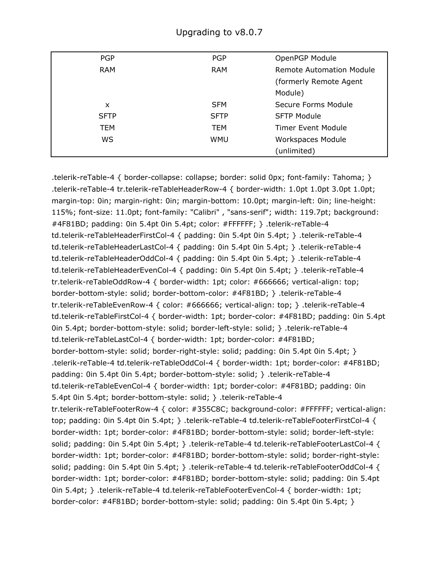| <b>PGP</b>  | <b>PGP</b>  | OpenPGP Module                  |
|-------------|-------------|---------------------------------|
| <b>RAM</b>  | <b>RAM</b>  | <b>Remote Automation Module</b> |
|             |             | (formerly Remote Agent          |
|             |             | Module)                         |
| x           | <b>SFM</b>  | Secure Forms Module             |
| <b>SFTP</b> | <b>SFTP</b> | <b>SFTP Module</b>              |
| <b>TEM</b>  | <b>TEM</b>  | Timer Event Module              |
| WS          | <b>WMU</b>  | Workspaces Module               |
|             |             | (unlimited)                     |

.telerik-reTable-4 { border-collapse: collapse; border: solid 0px; font-family: Tahoma; } .telerik-reTable-4 tr.telerik-reTableHeaderRow-4 { border-width: 1.0pt 1.0pt 3.0pt 1.0pt; margin-top: 0in; margin-right: 0in; margin-bottom: 10.0pt; margin-left: 0in; line-height: 115%; font-size: 11.0pt; font-family: "Calibri" , "sans-serif"; width: 119.7pt; background: #4F81BD; padding: 0in 5.4pt 0in 5.4pt; color: #FFFFFF; } .telerik-reTable-4 td.telerik-reTableHeaderFirstCol-4 { padding: 0in 5.4pt 0in 5.4pt; } .telerik-reTable-4 td.telerik-reTableHeaderLastCol-4 { padding: 0in 5.4pt 0in 5.4pt; } .telerik-reTable-4 td.telerik-reTableHeaderOddCol-4 { padding: 0in 5.4pt 0in 5.4pt; } .telerik-reTable-4 td.telerik-reTableHeaderEvenCol-4 { padding: 0in 5.4pt 0in 5.4pt; } .telerik-reTable-4 tr.telerik-reTableOddRow-4 { border-width: 1pt; color: #666666; vertical-align: top; border-bottom-style: solid; border-bottom-color: #4F81BD; } .telerik-reTable-4 tr.telerik-reTableEvenRow-4 { color: #666666; vertical-align: top; } .telerik-reTable-4 td.telerik-reTableFirstCol-4 { border-width: 1pt; border-color: #4F81BD; padding: 0in 5.4pt 0in 5.4pt; border-bottom-style: solid; border-left-style: solid; } .telerik-reTable-4 td.telerik-reTableLastCol-4 { border-width: 1pt; border-color: #4F81BD; border-bottom-style: solid; border-right-style: solid; padding: 0in 5.4pt 0in 5.4pt; } .telerik-reTable-4 td.telerik-reTableOddCol-4 { border-width: 1pt; border-color: #4F81BD; padding: 0in 5.4pt 0in 5.4pt; border-bottom-style: solid; } .telerik-reTable-4 td.telerik-reTableEvenCol-4 { border-width: 1pt; border-color: #4F81BD; padding: 0in 5.4pt 0in 5.4pt; border-bottom-style: solid; } .telerik-reTable-4 tr.telerik-reTableFooterRow-4 { color: #355C8C; background-color: #FFFFFF; vertical-align: top; padding: 0in 5.4pt 0in 5.4pt; } .telerik-reTable-4 td.telerik-reTableFooterFirstCol-4 { border-width: 1pt; border-color: #4F81BD; border-bottom-style: solid; border-left-style: solid; padding: 0in 5.4pt 0in 5.4pt; } .telerik-reTable-4 td.telerik-reTableFooterLastCol-4 { border-width: 1pt; border-color: #4F81BD; border-bottom-style: solid; border-right-style: solid; padding: 0in 5.4pt 0in 5.4pt; } .telerik-reTable-4 td.telerik-reTableFooterOddCol-4 { border-width: 1pt; border-color: #4F81BD; border-bottom-style: solid; padding: 0in 5.4pt 0in 5.4pt; } .telerik-reTable-4 td.telerik-reTableFooterEvenCol-4 { border-width: 1pt; border-color: #4F81BD; border-bottom-style: solid; padding: 0in 5.4pt 0in 5.4pt; }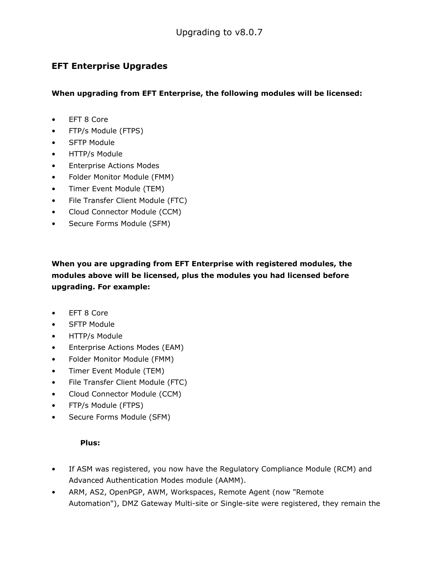## EFT Enterprise Upgrades

When upgrading from EFT Enterprise, the following modules will be licensed:

- EFT 8 Core
- FTP/s Module (FTPS)
- SFTP Module
- HTTP/s Module
- Enterprise Actions Modes
- Folder Monitor Module (FMM)
- Timer Event Module (TEM)
- File Transfer Client Module (FTC)
- Cloud Connector Module (CCM)
- Secure Forms Module (SFM)

When you are upgrading from EFT Enterprise with registered modules, the modules above will be licensed, plus the modules you had licensed before upgrading. For example:

- EFT 8 Core
- SFTP Module
- HTTP/s Module
- Enterprise Actions Modes (EAM)
- Folder Monitor Module (FMM)
- Timer Event Module (TEM)
- File Transfer Client Module (FTC)
- Cloud Connector Module (CCM)
- FTP/s Module (FTPS)
- Secure Forms Module (SFM)

### Plus:

- If ASM was registered, you now have the Regulatory Compliance Module (RCM) and Advanced Authentication Modes module (AAMM).
- ARM, AS2, OpenPGP, AWM, Workspaces, Remote Agent (now "Remote Automation"), DMZ Gateway Multi-site or Single-site were registered, they remain the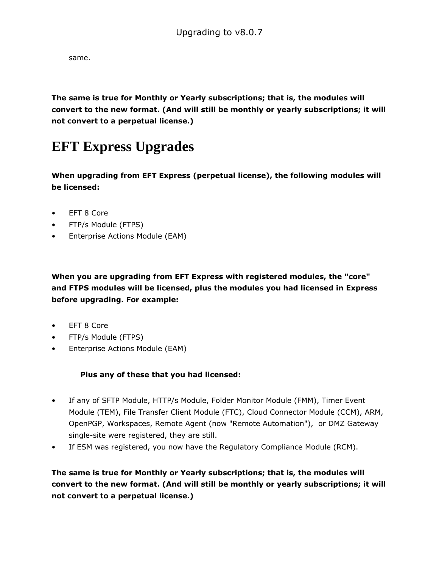same.

The same is true for Monthly or Yearly subscriptions; that is, the modules will convert to the new format. (And will still be monthly or yearly subscriptions; it will not convert to a perpetual license.)

# **EFT Express Upgrades**

When upgrading from EFT Express (perpetual license), the following modules will be licensed:

- EFT 8 Core
- FTP/s Module (FTPS)
- Enterprise Actions Module (EAM)

When you are upgrading from EFT Express with registered modules, the "core" and FTPS modules will be licensed, plus the modules you had licensed in Express before upgrading. For example:

- EFT 8 Core
- FTP/s Module (FTPS)
- Enterprise Actions Module (EAM)

#### Plus any of these that you had licensed:

- If any of SFTP Module, HTTP/s Module, Folder Monitor Module (FMM), Timer Event Module (TEM), File Transfer Client Module (FTC), Cloud Connector Module (CCM), ARM, OpenPGP, Workspaces, Remote Agent (now "Remote Automation"), or DMZ Gateway single-site were registered, they are still.
- If ESM was registered, you now have the Regulatory Compliance Module (RCM).

The same is true for Monthly or Yearly subscriptions; that is, the modules will convert to the new format. (And will still be monthly or yearly subscriptions; it will not convert to a perpetual license.)